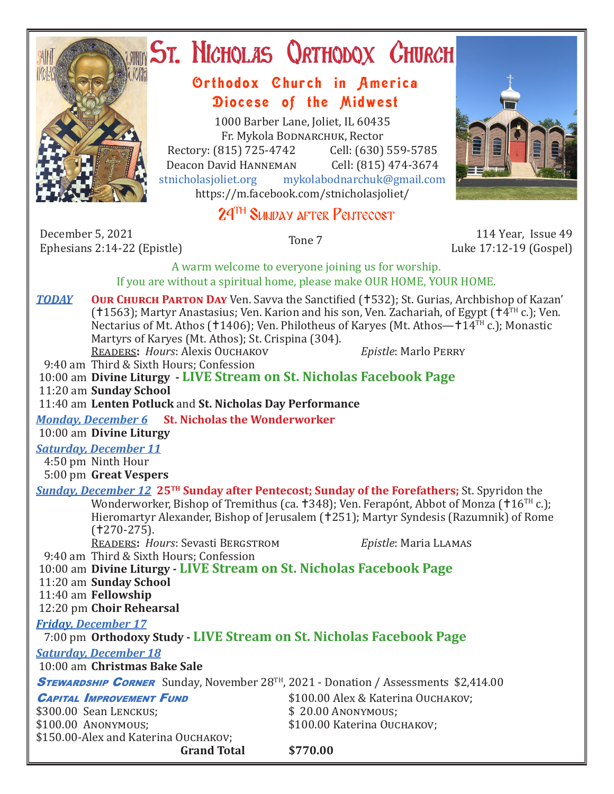

# **ST. NICHOLAS QRTHODOX CHURCH**

## Orthodox Church in America Diocese of the Midwest

1000 Barber Lane, Joliet, IL 60435 Fr. Mykola Bodnarchuk, Rector Rectory: (815) 725-4742 Cell: (630) 559-5785<br>Deacon David HANNEMAN Cell: (815) 474-3674 Deacon David HANNEMAN<br>stnicholasioliet.org mykola mykolabodnarchuk@gmail.com https://m.facebook.com/stnicholasjoliet/

# 24<sup>TH</sup> SUNDAY AFTER PENTECOST

December 5, 2021 Ephesians 2:14-22 (Epistle) Tone 7 114 Year, Issue 49<br>Ephesians 2:14-22 (Epistle) Tone 7 114 Year, Issue 49

Luke 17:12-19 (Gospel)

A warm welcome to everyone joining us for worship. If you are without a spiritual home, please make OUR HOME, YOUR HOME.

**TODAY OUR CHURCH PARTON DAY** Ven. Savva the Sanctified (1532); St. Gurias, Archbishop of Kazan' (†1563); Martyr Anastasius; Ven. Karion and his son, Ven. Zachariah, of Egypt († $4^{TH}$  c.); Ven. Nectarius of Mt. Athos (†1406); Ven. Philotheus of Karyes (Mt. Athos—†14TH c.); Monastic Martyrs of Karyes (Mt. Athos); St. Crispina (304). Readers**:** *Hours*: Alexis Ouchakov *Epistle*: Marlo Perry

9:40 am Third & Sixth Hours; Confession

10:00 am **Divine Liturgy - LIVE Stream on St. Nicholas Facebook Page**

11:20 am **Sunday School**

11:40 am **Lenten Potluck** and **St. Nicholas Day Performance**

*Monday, December 6* **St. Nicholas the Wonderworker**

10:00 am **Divine Liturgy**

#### *Saturday, December 11*

 4:50 pm Ninth Hour 5:00 pm **Great Vespers**

### *Sunday, December 12* **25TH Sunday after Pentecost; Sunday of the Forefathers;** St. Spyridon the Wonderworker, Bishop of Tremithus (ca.  $\pm$ 348); Ven. Ferapónt, Abbot of Monza ( $\pm$ 16<sup>TH</sup> c.); Hieromartyr Alexander, Bishop of Jerusalem (†251); Martyr Syndesis (Razumnik) of Rome

 $(1270-275)$ . Readers**:** *Hours*: Sevasti Bergstrom *Epistle*: Maria Llamas

 9:40 am Third & Sixth Hours; Confession 10:00 am **Divine Liturgy - LIVE Stream on St. Nicholas Facebook Page** 11:20 am **Sunday School**

11:40 am **Fellowship**

12:20 pm **Choir Rehearsal**

#### *Friday, December 17*  7:00 pm **Orthodoxy Study - LIVE Stream on St. Nicholas Facebook Page** *Saturday, December 18*  10:00 am **Christmas Bake Sale STEWARDSHIP CORNER** Sunday, November 28<sup>TH</sup>, 2021 - Donation / Assessments \$2,414.00 **CAPITAL IMPROVEMENT FUND** \$100.00 Alex & Katerina Ouchakov;<br>\$300.00 Sean Lenckus; \$20.00 ANONYMOUS; \$300.00 Sean Lenckus;<br>\$100.00 Anonymous: \$100.00 Katerina Ouchakov: \$150.00-Alex and Katerina Ouchakov; **Grand Total \$770.00**